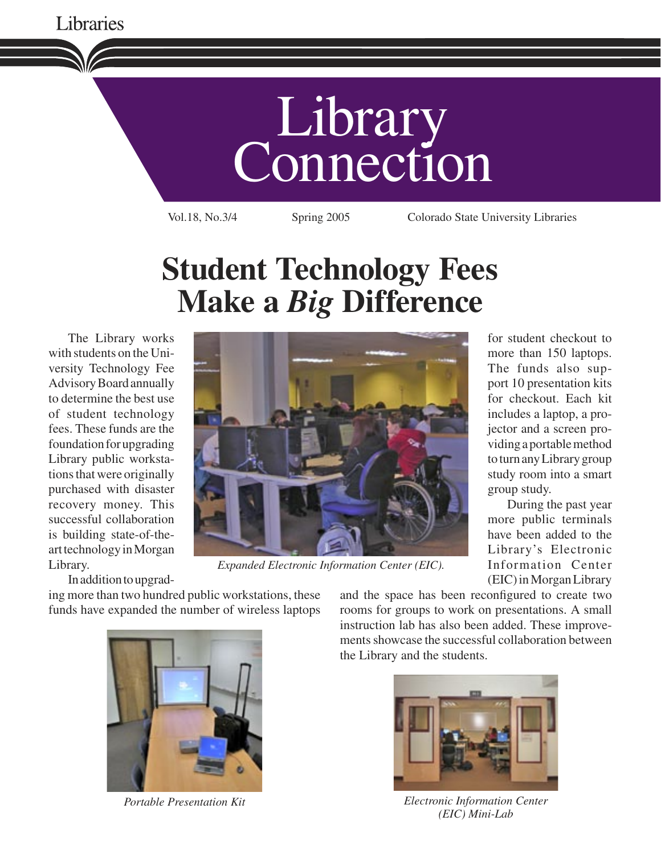

# **Student Technology Fees Make a** *Big* **Difference**

The Library works with students on the University Technology Fee Advisory Board annually to determine the best use of student technology fees. These funds are the foundation for upgrading Library public workstations that were originally purchased with disaster recovery money. This successful collaboration is building state-of-theart technology in Morgan Library.

In addition to upgrad-

ing more than two hundred public workstations, these funds have expanded the number of wireless laptops



*Expanded Electronic Information Center (EIC).*

for student checkout to more than 150 laptops. The funds also support 10 presentation kits for checkout. Each kit includes a laptop, a projector and a screen providing a portable method to turn any Library group study room into a smart group study.

During the past year more public terminals have been added to the Library's Electronic Information Center (EIC) in Morgan Library



and the space has been reconfigured to create two rooms for groups to work on presentations. A small instruction lab has also been added. These improvements showcase the successful collaboration between the Library and the students.



*Portable Presentation Kit Electronic Information Center (EIC) Mini-Lab*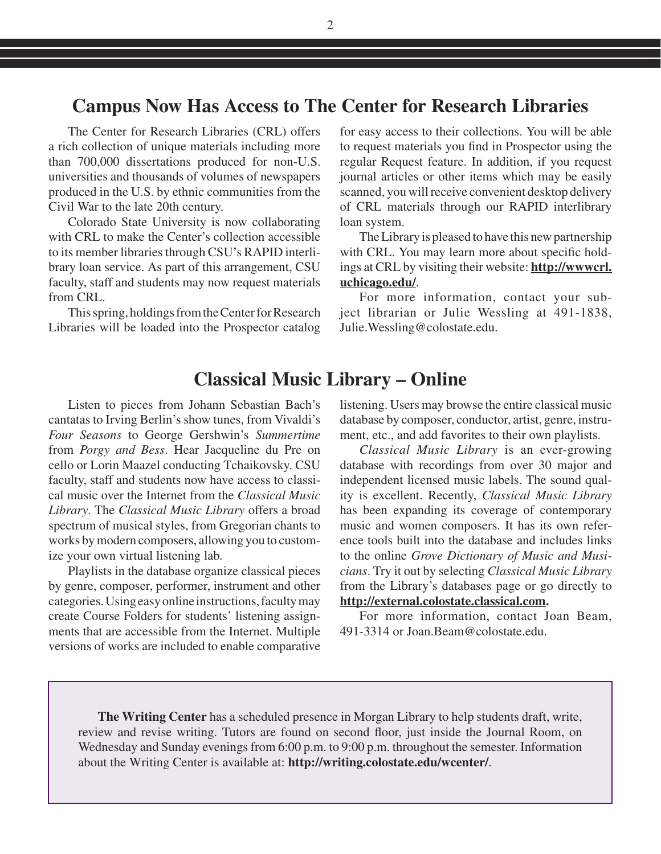#### **Campus Now Has Access to The Center for Research Libraries**

The Center for Research Libraries (CRL) offers a rich collection of unique materials including more than 700,000 dissertations produced for non-U.S. universities and thousands of volumes of newspapers produced in the U.S. by ethnic communities from the Civil War to the late 20th century.

Colorado State University is now collaborating with CRL to make the Center's collection accessible to its member libraries through CSU's RAPID interlibrary loan service. As part of this arrangement, CSU faculty, staff and students may now request materials from CRL.

This spring, holdings from the Center for Research Libraries will be loaded into the Prospector catalog for easy access to their collections. You will be able to request materials you find in Prospector using the regular Request feature. In addition, if you request journal articles or other items which may be easily scanned, you will receive convenient desktop delivery of CRL materials through our RAPID interlibrary loan system.

The Library is pleased to have this new partnership with CRL. You may learn more about specific holdings at CRL by visiting their website: **http://wwwcrl. uchicago.edu/**.

For more information, contact your subject librarian or Julie Wessling at 491-1838, Julie.Wessling@colostate.edu.

#### **Classical Music Library – Online**

Listen to pieces from Johann Sebastian Bach's cantatas to Irving Berlin's show tunes, from Vivaldi's *Four Seasons* to George Gershwin's *Summertime*  from *Porgy and Bess*. Hear Jacqueline du Pre on cello or Lorin Maazel conducting Tchaikovsky. CSU faculty, staff and students now have access to classical music over the Internet from the *Classical Music Library*. The *Classical Music Library* offers a broad spectrum of musical styles, from Gregorian chants to works by modern composers, allowing you to customize your own virtual listening lab.

Playlists in the database organize classical pieces by genre, composer, performer, instrument and other categories. Using easy online instructions, faculty may create Course Folders for students' listening assignments that are accessible from the Internet. Multiple versions of works are included to enable comparative listening. Users may browse the entire classical music database by composer, conductor, artist, genre, instrument, etc., and add favorites to their own playlists.

*Classical Music Library* is an ever-growing database with recordings from over 30 major and independent licensed music labels. The sound quality is excellent. Recently, *Classical Music Library*  has been expanding its coverage of contemporary music and women composers. It has its own reference tools built into the database and includes links to the online *Grove Dictionary of Music and Musicians*. Try it out by selecting *Classical Music Library*  from the Library's databases page or go directly to **http://external.colostate.classical.com.**

For more information, contact Joan Beam, 491-3314 or Joan.Beam@colostate.edu.

**The Writing Center** has a scheduled presence in Morgan Library to help students draft, write, review and revise writing. Tutors are found on second floor, just inside the Journal Room, on Wednesday and Sunday evenings from 6:00 p.m. to 9:00 p.m. throughout the semester. Information about the Writing Center is available at: **http://writing.colostate.edu/wcenter/**.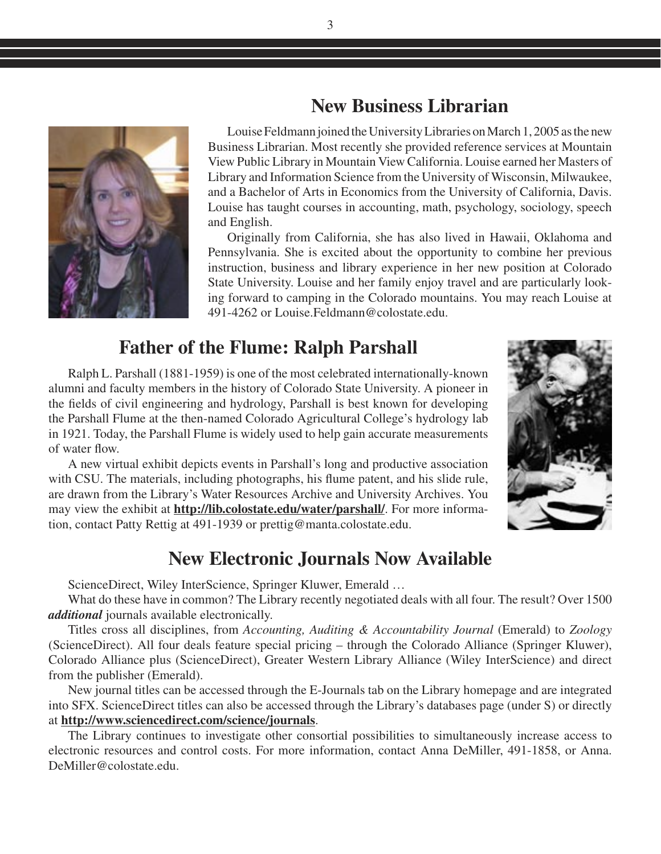## **New Business Librarian**

Louise Feldmann joined the University Libraries on March 1, 2005 as the new Business Librarian. Most recently she provided reference services at Mountain View Public Library in Mountain View California. Louise earned her Masters of Library and Information Science from the University of Wisconsin, Milwaukee, and a Bachelor of Arts in Economics from the University of California, Davis. Louise has taught courses in accounting, math, psychology, sociology, speech and English.

Originally from California, she has also lived in Hawaii, Oklahoma and Pennsylvania. She is excited about the opportunity to combine her previous instruction, business and library experience in her new position at Colorado State University. Louise and her family enjoy travel and are particularly looking forward to camping in the Colorado mountains. You may reach Louise at 491-4262 or Louise.Feldmann@colostate.edu.

## **Father of the Flume: Ralph Parshall**

Ralph L. Parshall (1881-1959) is one of the most celebrated internationally-known alumni and faculty members in the history of Colorado State University. A pioneer in the fields of civil engineering and hydrology, Parshall is best known for developing the Parshall Flume at the then-named Colorado Agricultural College's hydrology lab in 1921. Today, the Parshall Flume is widely used to help gain accurate measurements of water flow.

A new virtual exhibit depicts events in Parshall's long and productive association with CSU. The materials, including photographs, his flume patent, and his slide rule, are drawn from the Library's Water Resources Archive and University Archives. You may view the exhibit at **http://lib.colostate.edu/water/parshall/**. For more information, contact Patty Rettig at 491-1939 or prettig@manta.colostate.edu.

#### **New Electronic Journals Now Available**

ScienceDirect, Wiley InterScience, Springer Kluwer, Emerald …

What do these have in common? The Library recently negotiated deals with all four. The result? Over 1500 *additional* journals available electronically.

Titles cross all disciplines, from *Accounting, Auditing & Accountability Journal* (Emerald) to *Zoology*  (ScienceDirect). All four deals feature special pricing – through the Colorado Alliance (Springer Kluwer), Colorado Alliance plus (ScienceDirect), Greater Western Library Alliance (Wiley InterScience) and direct from the publisher (Emerald).

New journal titles can be accessed through the E-Journals tab on the Library homepage and are integrated into SFX. ScienceDirect titles can also be accessed through the Library's databases page (under S) or directly at **http://www.sciencedirect.com/science/journals**.

The Library continues to investigate other consortial possibilities to simultaneously increase access to electronic resources and control costs. For more information, contact Anna DeMiller, 491-1858, or Anna. DeMiller@colostate.edu.